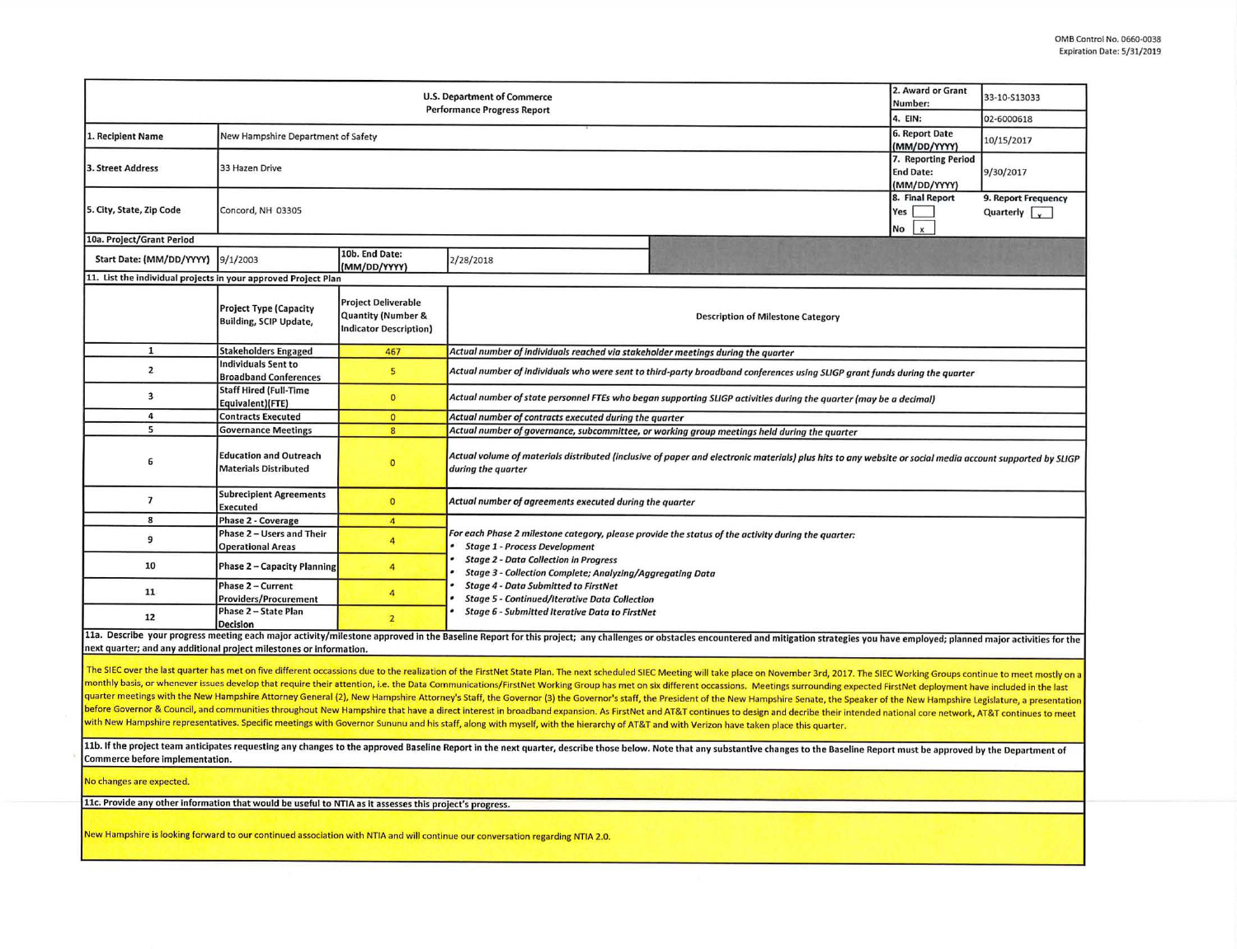| <b>U.S. Department of Commerce</b><br><b>Performance Progress Report</b>                                                                                                                                                                                                                                                                                                                                                                                                                                                                                                                                                                                                                                                                                                                                                                                                                                                                                                                                                                                                                                                                                                                                                                                                                                                                                                                                                                                                                                                                   |                                                                |                                                                                       |                                                                                                                                                                                                                  |                                                                                                                                                                                                                                |  | 33-10-S13033 |  |  |  |  |  |
|--------------------------------------------------------------------------------------------------------------------------------------------------------------------------------------------------------------------------------------------------------------------------------------------------------------------------------------------------------------------------------------------------------------------------------------------------------------------------------------------------------------------------------------------------------------------------------------------------------------------------------------------------------------------------------------------------------------------------------------------------------------------------------------------------------------------------------------------------------------------------------------------------------------------------------------------------------------------------------------------------------------------------------------------------------------------------------------------------------------------------------------------------------------------------------------------------------------------------------------------------------------------------------------------------------------------------------------------------------------------------------------------------------------------------------------------------------------------------------------------------------------------------------------------|----------------------------------------------------------------|---------------------------------------------------------------------------------------|------------------------------------------------------------------------------------------------------------------------------------------------------------------------------------------------------------------|--------------------------------------------------------------------------------------------------------------------------------------------------------------------------------------------------------------------------------|--|--------------|--|--|--|--|--|
|                                                                                                                                                                                                                                                                                                                                                                                                                                                                                                                                                                                                                                                                                                                                                                                                                                                                                                                                                                                                                                                                                                                                                                                                                                                                                                                                                                                                                                                                                                                                            |                                                                |                                                                                       |                                                                                                                                                                                                                  |                                                                                                                                                                                                                                |  | 02-6000618   |  |  |  |  |  |
| 1. Recipient Name                                                                                                                                                                                                                                                                                                                                                                                                                                                                                                                                                                                                                                                                                                                                                                                                                                                                                                                                                                                                                                                                                                                                                                                                                                                                                                                                                                                                                                                                                                                          | New Hampshire Department of Safety                             | 6. Report Date<br>(MM/DD/YYYY)                                                        | 10/15/2017                                                                                                                                                                                                       |                                                                                                                                                                                                                                |  |              |  |  |  |  |  |
| 3. Street Address                                                                                                                                                                                                                                                                                                                                                                                                                                                                                                                                                                                                                                                                                                                                                                                                                                                                                                                                                                                                                                                                                                                                                                                                                                                                                                                                                                                                                                                                                                                          | 33 Hazen Drive                                                 | 7. Reporting Period<br><b>End Date:</b><br>(MM/DD/YYYY)                               | 9/30/2017                                                                                                                                                                                                        |                                                                                                                                                                                                                                |  |              |  |  |  |  |  |
| 5. City, State, Zip Code                                                                                                                                                                                                                                                                                                                                                                                                                                                                                                                                                                                                                                                                                                                                                                                                                                                                                                                                                                                                                                                                                                                                                                                                                                                                                                                                                                                                                                                                                                                   | Concord, NH 03305                                              | 8. Final Report<br>Yes  <br>No<br>$\mathbf{x}$                                        | 9. Report Frequency<br>Quarterly $\sqrt{\sqrt{2}}$                                                                                                                                                               |                                                                                                                                                                                                                                |  |              |  |  |  |  |  |
| 10a. Project/Grant Period                                                                                                                                                                                                                                                                                                                                                                                                                                                                                                                                                                                                                                                                                                                                                                                                                                                                                                                                                                                                                                                                                                                                                                                                                                                                                                                                                                                                                                                                                                                  |                                                                |                                                                                       |                                                                                                                                                                                                                  |                                                                                                                                                                                                                                |  |              |  |  |  |  |  |
| Start Date: (MM/DD/YYYY)                                                                                                                                                                                                                                                                                                                                                                                                                                                                                                                                                                                                                                                                                                                                                                                                                                                                                                                                                                                                                                                                                                                                                                                                                                                                                                                                                                                                                                                                                                                   | 9/1/2003                                                       | 10b. End Date:<br>(MM/DD/YYYY)                                                        | 2/28/2018                                                                                                                                                                                                        |                                                                                                                                                                                                                                |  |              |  |  |  |  |  |
| 11. List the individual projects in your approved Project Plan                                                                                                                                                                                                                                                                                                                                                                                                                                                                                                                                                                                                                                                                                                                                                                                                                                                                                                                                                                                                                                                                                                                                                                                                                                                                                                                                                                                                                                                                             |                                                                |                                                                                       |                                                                                                                                                                                                                  |                                                                                                                                                                                                                                |  |              |  |  |  |  |  |
|                                                                                                                                                                                                                                                                                                                                                                                                                                                                                                                                                                                                                                                                                                                                                                                                                                                                                                                                                                                                                                                                                                                                                                                                                                                                                                                                                                                                                                                                                                                                            | <b>Project Type (Capacity</b><br><b>Building, SCIP Update,</b> | <b>Project Deliverable</b><br><b>Quantity (Number &amp;</b><br>Indicator Description) | <b>Description of Milestone Category</b>                                                                                                                                                                         |                                                                                                                                                                                                                                |  |              |  |  |  |  |  |
| $\mathbf{1}$                                                                                                                                                                                                                                                                                                                                                                                                                                                                                                                                                                                                                                                                                                                                                                                                                                                                                                                                                                                                                                                                                                                                                                                                                                                                                                                                                                                                                                                                                                                               | <b>Stakeholders Engaged</b>                                    | 467                                                                                   | Actual number of individuals reached via stakeholder meetings during the quarter                                                                                                                                 |                                                                                                                                                                                                                                |  |              |  |  |  |  |  |
| $\overline{2}$                                                                                                                                                                                                                                                                                                                                                                                                                                                                                                                                                                                                                                                                                                                                                                                                                                                                                                                                                                                                                                                                                                                                                                                                                                                                                                                                                                                                                                                                                                                             | <b>Individuals Sent to</b><br><b>Broadband Conferences</b>     | 5 <sup>1</sup>                                                                        | Actual number of individuals who were sent to third-party broadband conferences using SLIGP grant funds during the quarter                                                                                       |                                                                                                                                                                                                                                |  |              |  |  |  |  |  |
| $\overline{\mathbf{3}}$                                                                                                                                                                                                                                                                                                                                                                                                                                                                                                                                                                                                                                                                                                                                                                                                                                                                                                                                                                                                                                                                                                                                                                                                                                                                                                                                                                                                                                                                                                                    | <b>Staff Hired (Full-Time</b><br>Equivalent)(FTE)              | $\mathbf{0}$                                                                          | Actual number of state personnel FTEs who began supporting SLIGP activities during the quarter (may be a decimal)                                                                                                |                                                                                                                                                                                                                                |  |              |  |  |  |  |  |
| 4                                                                                                                                                                                                                                                                                                                                                                                                                                                                                                                                                                                                                                                                                                                                                                                                                                                                                                                                                                                                                                                                                                                                                                                                                                                                                                                                                                                                                                                                                                                                          | <b>Contracts Executed</b>                                      | $\overline{0}$                                                                        | Actual number of contracts executed during the quarter                                                                                                                                                           |                                                                                                                                                                                                                                |  |              |  |  |  |  |  |
| 5                                                                                                                                                                                                                                                                                                                                                                                                                                                                                                                                                                                                                                                                                                                                                                                                                                                                                                                                                                                                                                                                                                                                                                                                                                                                                                                                                                                                                                                                                                                                          | <b>Governance Meetings</b>                                     | 8 <sup>2</sup>                                                                        | Actual number of governance, subcommittee, or working group meetings held during the quarter                                                                                                                     |                                                                                                                                                                                                                                |  |              |  |  |  |  |  |
| 6                                                                                                                                                                                                                                                                                                                                                                                                                                                                                                                                                                                                                                                                                                                                                                                                                                                                                                                                                                                                                                                                                                                                                                                                                                                                                                                                                                                                                                                                                                                                          | <b>Education and Outreach</b><br><b>Materials Distributed</b>  | $\bullet$                                                                             | Actual volume of materials distributed (inclusive of paper and electronic materials) plus hits to any website or social media account supported by SLIGP<br>during the quarter                                   |                                                                                                                                                                                                                                |  |              |  |  |  |  |  |
| $\overline{\mathbf{z}}$                                                                                                                                                                                                                                                                                                                                                                                                                                                                                                                                                                                                                                                                                                                                                                                                                                                                                                                                                                                                                                                                                                                                                                                                                                                                                                                                                                                                                                                                                                                    | <b>Subrecipient Agreements</b><br><b>Executed</b>              | $\mathbf{O}$                                                                          | Actual number of agreements executed during the quarter                                                                                                                                                          |                                                                                                                                                                                                                                |  |              |  |  |  |  |  |
| 8                                                                                                                                                                                                                                                                                                                                                                                                                                                                                                                                                                                                                                                                                                                                                                                                                                                                                                                                                                                                                                                                                                                                                                                                                                                                                                                                                                                                                                                                                                                                          | <b>Phase 2 - Coverage</b>                                      | $\overline{4}$                                                                        |                                                                                                                                                                                                                  |                                                                                                                                                                                                                                |  |              |  |  |  |  |  |
| 9                                                                                                                                                                                                                                                                                                                                                                                                                                                                                                                                                                                                                                                                                                                                                                                                                                                                                                                                                                                                                                                                                                                                                                                                                                                                                                                                                                                                                                                                                                                                          | Phase 2 - Users and Their<br><b>Operational Areas</b>          | $\overline{4}$                                                                        | For each Phase 2 milestone category, please provide the status of the activity during the quarter:<br><b>Stage 1 - Process Development</b>                                                                       |                                                                                                                                                                                                                                |  |              |  |  |  |  |  |
| 10                                                                                                                                                                                                                                                                                                                                                                                                                                                                                                                                                                                                                                                                                                                                                                                                                                                                                                                                                                                                                                                                                                                                                                                                                                                                                                                                                                                                                                                                                                                                         | <b>Phase 2 - Capacity Planning</b>                             | 4                                                                                     | <b>Stage 2 - Data Collection in Progress</b><br>Stage 3 - Collection Complete; Analyzing/Aggregating Data<br><b>Stage 4 - Data Submitted to FirstNet</b><br><b>Stage 5 - Continued/Iterative Data Collection</b> |                                                                                                                                                                                                                                |  |              |  |  |  |  |  |
| 11                                                                                                                                                                                                                                                                                                                                                                                                                                                                                                                                                                                                                                                                                                                                                                                                                                                                                                                                                                                                                                                                                                                                                                                                                                                                                                                                                                                                                                                                                                                                         | Phase 2 - Current<br><b>Providers/Procurement</b>              | $\overline{4}$                                                                        |                                                                                                                                                                                                                  |                                                                                                                                                                                                                                |  |              |  |  |  |  |  |
| 12                                                                                                                                                                                                                                                                                                                                                                                                                                                                                                                                                                                                                                                                                                                                                                                                                                                                                                                                                                                                                                                                                                                                                                                                                                                                                                                                                                                                                                                                                                                                         | Phase 2 - State Plan<br><b>Decision</b>                        | $\overline{2}$                                                                        | <b>Stage 6 - Submitted Iterative Data to FirstNet</b>                                                                                                                                                            |                                                                                                                                                                                                                                |  |              |  |  |  |  |  |
| next quarter; and any additional project milestones or information.                                                                                                                                                                                                                                                                                                                                                                                                                                                                                                                                                                                                                                                                                                                                                                                                                                                                                                                                                                                                                                                                                                                                                                                                                                                                                                                                                                                                                                                                        |                                                                |                                                                                       |                                                                                                                                                                                                                  | 11a. Describe your progress meeting each major activity/milestone approved in the Baseline Report for this project; any challenges or obstacles encountered and mitigation strategies you have employed; planned major activit |  |              |  |  |  |  |  |
| The SIEC over the last quarter has met on five different occassions due to the realization of the FirstNet State Plan. The next scheduled SIEC Meeting will take place on November 3rd, 2017. The SIEC Working Groups continue<br>monthly basis, or whenever issues develop that require their attention, i.e. the Data Communications/FirstNet Working Group has met on six different occassions. Meetings surrounding expected FirstNet deployment have includ<br>quarter meetings with the New Hampshire Attorney General (2), New Hampshire Attorney's Staff, the Governor (3) the Governor's staff, the President of the New Hampshire Senate, the Speaker of the New Hampshire Legislature,<br>before Governor & Council, and communities throughout New Hampshire that have a direct interest in broadband expansion. As FirstNet and AT&T continues to design and decribe their intended national core network, AT&T contin<br>with New Hampshire representatives. Specific meetings with Governor Sununu and his staff, along with myself, with the hierarchy of AT&T and with Verizon have taken place this quarter.<br>11b. If the project team anticipates requesting any changes to the approved Baseline Report in the next quarter, describe those below. Note that any substantive changes to the Baseline Report must be approved by the Depart<br>Commerce before implementation.<br>No changes are expected.<br>11c. Provide any other information that would be useful to NTIA as it assesses this project's progress. |                                                                |                                                                                       |                                                                                                                                                                                                                  |                                                                                                                                                                                                                                |  |              |  |  |  |  |  |
| New Hampshire is looking forward to our continued association with NTIA and will continue our conversation regarding NTIA 2.0.                                                                                                                                                                                                                                                                                                                                                                                                                                                                                                                                                                                                                                                                                                                                                                                                                                                                                                                                                                                                                                                                                                                                                                                                                                                                                                                                                                                                             |                                                                |                                                                                       |                                                                                                                                                                                                                  |                                                                                                                                                                                                                                |  |              |  |  |  |  |  |